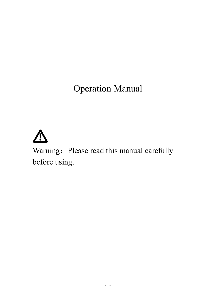Operation Manual



Warning: Please read this manual carefully before using.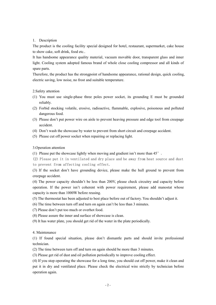### 1. Description

The product is the cooling facility special designed for hotel, restaurant, supermarket, cake house to show cake, soft drink, food etc...

It has handsome appearance quality material, vacuum movable door, transparent glass and inner light. Cooling system adopted famous brand of whole close cooling compressor and all kinds of spare parts.

Therefore, the product has the strongpoint of handsome appearance, rational design, quick cooling, electric saving, low noise, no frost and suitable temperature.

#### 2.Safety attention

- (1) You must use single-phase three poles power socket, its grounding E must be grounded reliably.
- (2) Forbid stocking volatile, erosive, radioactive, flammable, explosive, poisonous and polluted dangerous food.
- (3) Please don't put power wire on aisle to prevent heaving pressure and edge tool from creepage accident.
- (4) Don't wash the showcase by water to prevent from short circuit and creepage accident.
- (5) Please cut off power socket when repairing or replacing light.

### 3.Operation attention

(1) Please put the showcase lightly when moving and gradient isn't more than 45°.

(2) Please put it in ventilated and dry place and be away from heat source and dust

to prevent from affecting cooling effect.

(3) If the socket don't have grounding device, please make the hull ground to prevent from creepage accident.

(4) The power capacity shouldn't be less than 200V, please check circuitry and capacity before operation. If the power isn't coherent with power requirement, please add manostat whose capacity is more than 1000W before reusing.

- (5) The thermostat has been adjusted to best place before out of factory. You shouldn't adjust it.
- (6) The time between turn off and turn on again can't be less than 3 minutes.
- (7) Please don't put too much or overhot food.
- 
- (8) Please assure the inner and surface of showcase is clean.(9) It has water plate, you should get rid of the water in the plate periodically.

4. Maintenance

(1) If found special situation, please don't dismantle parts and should invite professional technician.

(2) The time between turn off and turn on again should be more than 3 minutes.

(3) Please get rid of dust and oil pollution periodically to improve cooling effect.

(4) If you stop operating the showcase for a long time, you should cut off power, make it clean and put it in dry and ventilated place. Please check the electrical wire strictly by technician before operation again.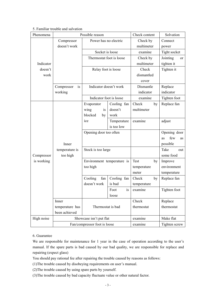## 5. Familiar trouble and salvation

| Phenomena                | Possible reason                     |                            |             | Check content           | Solvation       |
|--------------------------|-------------------------------------|----------------------------|-------------|-------------------------|-----------------|
|                          | Power has no electric<br>Compressor |                            |             | Check by                | Connect         |
|                          | doesn't work                        |                            |             | multimeter              | power           |
|                          |                                     | Socket is loose            |             | examine                 | Tight socket    |
|                          |                                     | Thermostat foot is loose   |             | Check by                | Jointing<br>or  |
| Indicator                |                                     |                            |             | multimeter              | tighten it      |
| doesn't                  |                                     | Relay foot is loose        |             | Check                   | Tighten it      |
| work                     |                                     |                            |             | dismantled              |                 |
|                          |                                     |                            |             | cover                   |                 |
|                          | Compressor<br>is                    | Indicator doesn't work     |             | Dismantle               | Replace         |
|                          | working                             |                            |             | indicator               | indicator       |
|                          |                                     | Indicator foot is loose    |             | examine<br>Tighten foot |                 |
| Compressor<br>is working |                                     | Evaporator                 | Cooling fan | Check<br>by             | Replace fan     |
|                          |                                     | wing<br>is                 | doesn't     | multimeter              |                 |
|                          |                                     | blocked<br>by              | work        |                         |                 |
|                          |                                     | ice                        | Temperature | examine                 | adjust          |
|                          |                                     |                            | is too low  |                         |                 |
|                          |                                     | Opening door too often     |             |                         | Opening door    |
|                          |                                     |                            |             |                         | few<br>as<br>as |
|                          | Inner                               |                            |             |                         | possible        |
|                          | temperature is                      | Stock is too large         |             |                         | Take<br>out     |
|                          | too high                            |                            |             |                         | some food       |
|                          |                                     | Environment temperature is |             | Test<br>by              | Improve         |
|                          |                                     | too high                   |             | temperature             | environment     |
|                          |                                     |                            |             | meter                   | temperature     |
|                          |                                     | Cooling<br>fan             | Cooling fan | Check<br>by             | Replace fan     |
|                          |                                     | doesn't work               | is bad      | temperature             |                 |
|                          |                                     |                            | is<br>Foot  | examine                 | Tighten foot    |
|                          |                                     |                            | loose       |                         |                 |
|                          | Inner                               |                            |             | Check                   | Replace         |
|                          | temperature has                     | Thermostat is bad          |             | thermostat              | thermostat      |
|                          | been achieved                       |                            |             |                         |                 |
| High noise               | Showcase isn't put flat             |                            |             | examine                 | Make flat       |
|                          | Fan/compressor foot is loose        |                            |             | examine                 | Tighten screw   |

6. Guarantee

We are responsible for maintenance for 1 year in the case of operation according to the user's manual. If the spare parts is bad caused by our bad quality, we are responsible for replace and repairing (expect glass)

You should pay rational fee after repairing the trouble caused by reasons as follows:

(1)The trouble caused by disobeying requirements on user's manual.

(2)The trouble caused by using spare parts by yourself.

(3)The trouble caused by bad capacity fluctuate value or other natural factor.